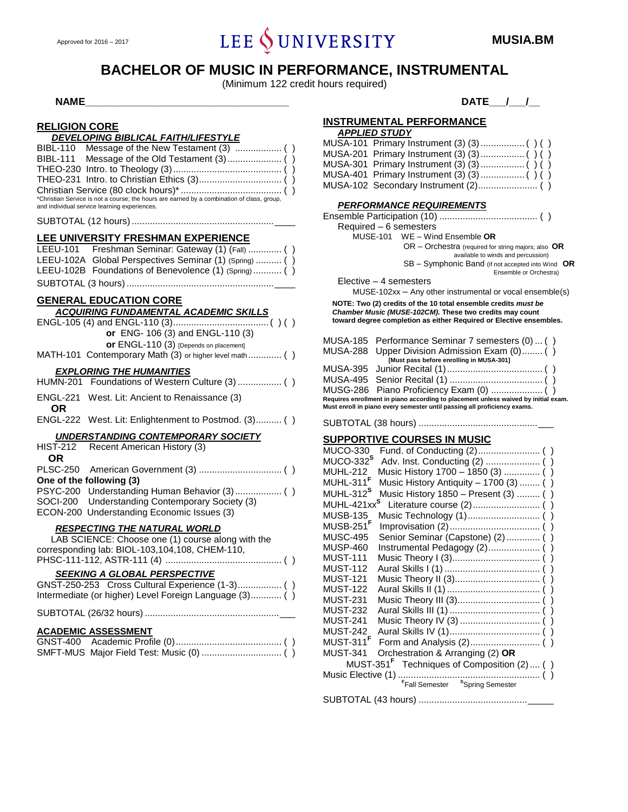# Approved for 2016 – 2017 **ICHE** SUNIVERSITY **MUSIA.BM**

# **BACHELOR OF MUSIC IN PERFORMANCE, INSTRUMENTAL**

(Minimum 122 credit hours required)

#### **RELIGION CORE** *DEVELOPING BIBLICAL FAITH/LIFESTYLE*

| PL 1 LLV 1119 DIDLIVAL 1 A1 1 1 1 LU I 1 LL                                                |  |
|--------------------------------------------------------------------------------------------|--|
|                                                                                            |  |
|                                                                                            |  |
|                                                                                            |  |
|                                                                                            |  |
|                                                                                            |  |
| *Christian Service is not a course; the hours are earned by a combination of class, group, |  |

and individual service learning experiences.

SUBTOTAL (12 hours) .......................................................\_\_\_\_

### **LEE UNIVERSITY FRESHMAN EXPERIENCE**

| LEEU-101 Freshman Seminar: Gateway (1) (Fall)  ()      |
|--------------------------------------------------------|
| LEEU-102A Global Perspectives Seminar (1) (Spring)  () |
| LEEU-102B Foundations of Benevolence (1) (Spring)  ()  |
|                                                        |

# **GENERAL EDUCATION CORE**

# *ACQUIRING FUNDAMENTAL ACADEMIC SKILLS*

|                                           | ACQUIRING FUNDAMENTAL ACADEMIC SKILLS                  |  |
|-------------------------------------------|--------------------------------------------------------|--|
|                                           |                                                        |  |
|                                           | or ENG- 106 (3) and ENGL-110 (3)                       |  |
|                                           | or ENGL-110 (3) [Depends on placement]                 |  |
|                                           | MATH-101 Contemporary Math (3) or higher level math () |  |
|                                           | <b>EXPLORING THE HUMANITIES</b>                        |  |
|                                           |                                                        |  |
|                                           | ENGL-221 West. Lit: Ancient to Renaissance (3)         |  |
| OR                                        |                                                        |  |
|                                           | ENGL-222 West. Lit: Enlightenment to Postmod. (3) ()   |  |
| <b>UNDERSTANDING CONTEMPORARY SOCIETY</b> |                                                        |  |
|                                           | HIST-212 Recent American History (3)                   |  |
| OR                                        |                                                        |  |
|                                           |                                                        |  |
| One of the following (3)                  |                                                        |  |
|                                           |                                                        |  |
|                                           | SOCI-200 Understanding Contemporary Society (3)        |  |
|                                           | ECON-200 Understanding Economic Issues (3)             |  |
|                                           | <b>RESPECTING THE NATURAL WORLD</b>                    |  |
|                                           | $I$ AR SCIENCE: Choose and $(1)$ course along with the |  |

### LAB SCIENCE: Choose one (1) course along with the corresponding lab: BIOL-103,104,108, CHEM-110, PHSC-111-112, ASTR-111 (4) ............................................. ( ) *SEEKING A GLOBAL PERSPECTIVE* GNST-250-253 Cross Cultural Experience (1-3)................. ( ) Intermediate (or higher) Level Foreign Language (3)............ ( )

#### SUBTOTAL (26/32 hours) ....................................................\_\_\_

#### **ACADEMIC ASSESSMENT**

# **NAME\_\_\_\_\_\_\_\_\_\_\_\_\_\_\_\_\_\_\_\_\_\_\_\_\_\_\_\_\_\_\_\_\_\_\_\_ DATE\_\_\_/\_\_\_/\_\_**

# **INSTRUMENTAL PERFORMANCE**

| <b>APPLIED STUDY</b> |
|----------------------|
|----------------------|

#### *PERFORMANCE REQUIREMENTS*

Ensemble Participation (10) ...................................... ( ) Required – 6 semesters

MUSE-101 WE – Wind Ensemble **OR**

- OR Orchestra (required for string majors; also **OR** available to winds and percussion)
- SB Symphonic Band (if not accepted into Wind **OR**

Ensemble or Orchestra)

Elective – 4 semesters

MUSE-102xx – Any other instrumental or vocal ensemble(s)

**NOTE: Two (2) credits of the 10 total ensemble credits** *must be Chamber Music (MUSE-102CM).* **These two credits may count toward degree completion as either Required or Elective ensembles.**

|                                                                                                                                                                | MUSA-185 Performance Seminar 7 semesters (0) () |  |
|----------------------------------------------------------------------------------------------------------------------------------------------------------------|-------------------------------------------------|--|
|                                                                                                                                                                | MUSA-288 Upper Division Admission Exam (0) ()   |  |
|                                                                                                                                                                | [Must pass before enrolling in MUSA-301]        |  |
|                                                                                                                                                                |                                                 |  |
|                                                                                                                                                                |                                                 |  |
|                                                                                                                                                                |                                                 |  |
| Requires enrollment in piano according to placement unless waived by initial exam.<br>Must enroll in piano every semester until passing all proficiency exams. |                                                 |  |

SUBTOTAL (38 hours) ..............................................\_\_\_

# **SUPPORTIVE COURSES IN MUSIC**

| <b>MUCO-330</b>         |                                                        |
|-------------------------|--------------------------------------------------------|
| MUCO-332 <sup>S</sup>   |                                                        |
| <b>MUHL-212</b>         | Music History 1700 - 1850 (3)  ()                      |
| MUHL-311 <sup>F</sup>   | Music History Antiquity $-1700(3)$ ()                  |
| MUHL-312 <sup>S</sup>   | Music History 1850 - Present (3)  ()                   |
| MUHL-421xx <sup>S</sup> |                                                        |
| <b>MUSB-135</b>         |                                                        |
| MUSB-251 <sup>F</sup>   |                                                        |
| <b>MUSC-495</b>         | Senior Seminar (Capstone) (2)  ( )                     |
| <b>MUSP-460</b>         | Instrumental Pedagogy (2) ()                           |
| <b>MUST-111</b>         |                                                        |
| <b>MUST-112</b>         |                                                        |
| <b>MUST-121</b>         |                                                        |
| <b>MUST-122</b>         |                                                        |
| <b>MUST-231</b>         |                                                        |
| <b>MUST-232</b>         |                                                        |
| <b>MUST-241</b>         |                                                        |
| <b>MUST-242</b>         |                                                        |
| MUST-311 <sup>F</sup>   |                                                        |
| <b>MUST-341</b>         | Orchestration & Arranging (2) OR                       |
|                         | MUST-351 <sup>F</sup> Techniques of Composition (2) () |
|                         |                                                        |
|                         |                                                        |
|                         |                                                        |